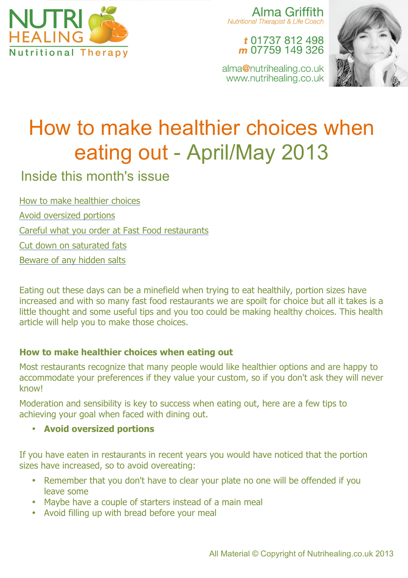

Alma Griffith Nutritional Therapist & Life Coach

> t 01737 812 498 m 07759 149 326

alma@nutrihealing.co.uk www.nutrihealing.co.uk



# How to make healthier choices when eating out - April/May 2013

Inside this month's issue

How to make healthier choices

Avoid oversized portions

Careful what you order at Fast Food restaurants

Cut down on saturated fats

Beware of any hidden salts

Eating out these days can be a minefield when trying to eat healthily, portion sizes have increased and with so many fast food restaurants we are spoilt for choice but all it takes is a little thought and some useful tips and you too could be making healthy choices. This health article will help you to make those choices.

# **How to make healthier choices when eating out**

Most restaurants recognize that many people would like healthier options and are happy to accommodate your preferences if they value your custom, so if you don't ask they will never know!

Moderation and sensibility is key to success when eating out, here are a few tips to achieving your goal when faced with dining out.

### • **Avoid oversized portions**

If you have eaten in restaurants in recent years you would have noticed that the portion sizes have increased, so to avoid overeating:

- Remember that you don't have to clear your plate no one will be offended if you leave some
- Maybe have a couple of starters instead of a main meal
- Avoid filling up with bread before your meal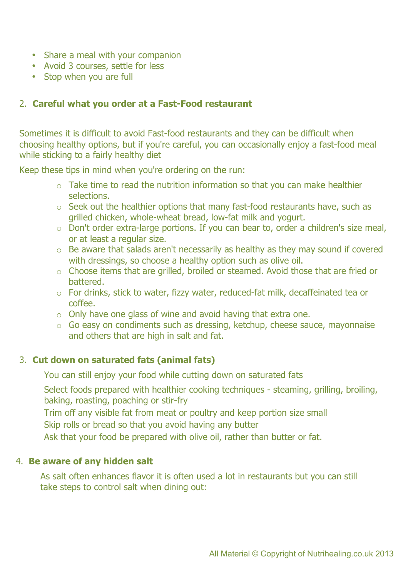- Share a meal with your companion
- Avoid 3 courses, settle for less
- Stop when you are full

### 2. **Careful what you order at a Fast-Food restaurant**

Sometimes it is difficult to avoid Fast-food restaurants and they can be difficult when choosing healthy options, but if you're careful, you can occasionally enjoy a fast-food meal while sticking to a fairly healthy diet

Keep these tips in mind when you're ordering on the run:

- o Take time to read the nutrition information so that you can make healthier selections.
- o Seek out the healthier options that many fast-food restaurants have, such as grilled chicken, whole-wheat bread, low-fat milk and yogurt.
- o Don't order extra-large portions. If you can bear to, order a children's size meal, or at least a regular size.
- o Be aware that salads aren't necessarily as healthy as they may sound if covered with dressings, so choose a healthy option such as olive oil.
- o Choose items that are grilled, broiled or steamed. Avoid those that are fried or battered.
- o For drinks, stick to water, fizzy water, reduced-fat milk, decaffeinated tea or coffee.
- o Only have one glass of wine and avoid having that extra one.
- o Go easy on condiments such as dressing, ketchup, cheese sauce, mayonnaise and others that are high in salt and fat.

# 3. **Cut down on saturated fats (animal fats)**

You can still enjoy your food while cutting down on saturated fats

Select foods prepared with healthier cooking techniques - steaming, grilling, broiling, baking, roasting, poaching or stir-fry

Trim off any visible fat from meat or poultry and keep portion size small

Skip rolls or bread so that you avoid having any butter

Ask that your food be prepared with olive oil, rather than butter or fat.

### 4. **Be aware of any hidden salt**

As salt often enhances flavor it is often used a lot in restaurants but you can still take steps to control salt when dining out: